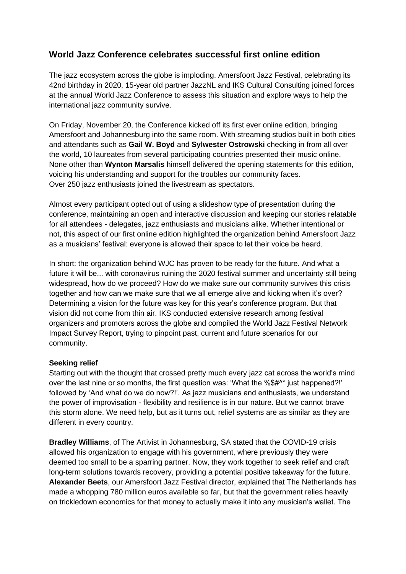# **World Jazz Conference celebrates successful first online edition**

The jazz ecosystem across the globe is imploding. Amersfoort Jazz Festival, celebrating its 42nd birthday in 2020, 15-year old partner JazzNL and IKS Cultural Consulting joined forces at the annual World Jazz Conference to assess this situation and explore ways to help the international jazz community survive.

On Friday, November 20, the Conference kicked off its first ever online edition, bringing Amersfoort and Johannesburg into the same room. With streaming studios built in both cities and attendants such as **Gail W. Boyd** and **Sylwester Ostrowski** checking in from all over the world, 10 laureates from several participating countries presented their music online. None other than **Wynton Marsalis** himself delivered the opening statements for this edition, voicing his understanding and support for the troubles our community faces. Over 250 jazz enthusiasts joined the livestream as spectators.

Almost every participant opted out of using a slideshow type of presentation during the conference, maintaining an open and interactive discussion and keeping our stories relatable for all attendees - delegates, jazz enthusiasts and musicians alike. Whether intentional or not, this aspect of our first online edition highlighted the organization behind Amersfoort Jazz as a musicians' festival: everyone is allowed their space to let their voice be heard.

In short: the organization behind WJC has proven to be ready for the future. And what a future it will be... with coronavirus ruining the 2020 festival summer and uncertainty still being widespread, how do we proceed? How do we make sure our community survives this crisis together and how can we make sure that we all emerge alive and kicking when it's over? Determining a vision for the future was key for this year's conference program. But that vision did not come from thin air. IKS conducted extensive research among festival organizers and promoters across the globe and compiled the World Jazz Festival Network Impact Survey Report, trying to pinpoint past, current and future scenarios for our community.

### **Seeking relief**

Starting out with the thought that crossed pretty much every jazz cat across the world's mind over the last nine or so months, the first question was: 'What the %\$#^\* just happened?!' followed by 'And what do we do now?!'. As jazz musicians and enthusiasts, we understand the power of improvisation - flexibility and resilience is in our nature. But we cannot brave this storm alone. We need help, but as it turns out, relief systems are as similar as they are different in every country.

**Bradley Williams**, of The Artivist in Johannesburg, SA stated that the COVID-19 crisis allowed his organization to engage with his government, where previously they were deemed too small to be a sparring partner. Now, they work together to seek relief and craft long-term solutions towards recovery, providing a potential positive takeaway for the future. **Alexander Beets**, our Amersfoort Jazz Festival director, explained that The Netherlands has made a whopping 780 million euros available so far, but that the government relies heavily on trickledown economics for that money to actually make it into any musician's wallet. The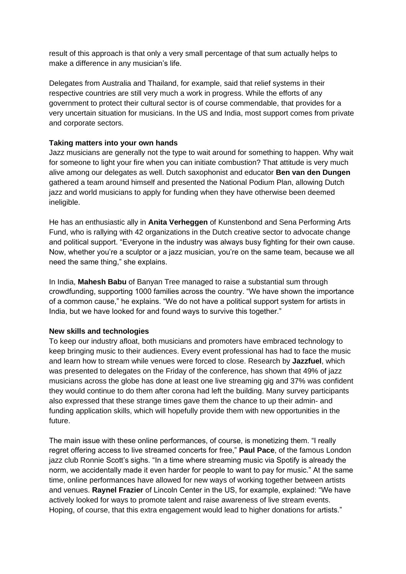result of this approach is that only a very small percentage of that sum actually helps to make a difference in any musician's life.

Delegates from Australia and Thailand, for example, said that relief systems in their respective countries are still very much a work in progress. While the efforts of any government to protect their cultural sector is of course commendable, that provides for a very uncertain situation for musicians. In the US and India, most support comes from private and corporate sectors.

## **Taking matters into your own hands**

Jazz musicians are generally not the type to wait around for something to happen. Why wait for someone to light your fire when you can initiate combustion? That attitude is very much alive among our delegates as well. Dutch saxophonist and educator **Ben van den Dungen** gathered a team around himself and presented the National Podium Plan, allowing Dutch jazz and world musicians to apply for funding when they have otherwise been deemed ineligible.

He has an enthusiastic ally in **Anita Verheggen** of Kunstenbond and Sena Performing Arts Fund, who is rallying with 42 organizations in the Dutch creative sector to advocate change and political support. "Everyone in the industry was always busy fighting for their own cause. Now, whether you're a sculptor or a jazz musician, you're on the same team, because we all need the same thing," she explains.

In India, **Mahesh Babu** of Banyan Tree managed to raise a substantial sum through crowdfunding, supporting 1000 families across the country. "We have shown the importance of a common cause," he explains. "We do not have a political support system for artists in India, but we have looked for and found ways to survive this together."

# **New skills and technologies**

To keep our industry afloat, both musicians and promoters have embraced technology to keep bringing music to their audiences. Every event professional has had to face the music and learn how to stream while venues were forced to close. Research by **Jazzfuel**, which was presented to delegates on the Friday of the conference, has shown that 49% of jazz musicians across the globe has done at least one live streaming gig and 37% was confident they would continue to do them after corona had left the building. Many survey participants also expressed that these strange times gave them the chance to up their admin- and funding application skills, which will hopefully provide them with new opportunities in the future.

The main issue with these online performances, of course, is monetizing them. "I really regret offering access to live streamed concerts for free," **Paul Pace**, of the famous London jazz club Ronnie Scott's sighs. "In a time where streaming music via Spotify is already the norm, we accidentally made it even harder for people to want to pay for music." At the same time, online performances have allowed for new ways of working together between artists and venues. **Raynel Frazier** of Lincoln Center in the US, for example, explained: "We have actively looked for ways to promote talent and raise awareness of live stream events. Hoping, of course, that this extra engagement would lead to higher donations for artists."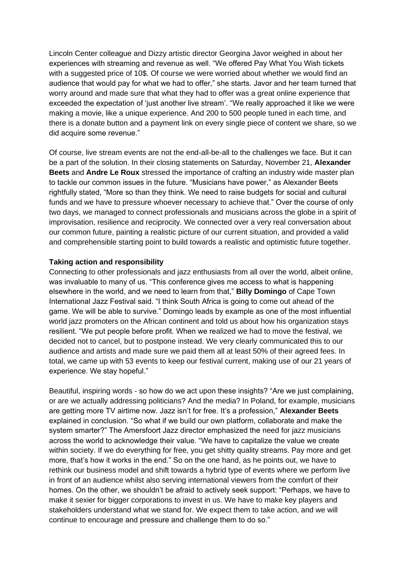Lincoln Center colleague and Dizzy artistic director Georgina Javor weighed in about her experiences with streaming and revenue as well. "We offered Pay What You Wish tickets with a suggested price of 10\$. Of course we were worried about whether we would find an audience that would pay for what we had to offer," she starts. Javor and her team turned that worry around and made sure that what they had to offer was a great online experience that exceeded the expectation of 'just another live stream'. "We really approached it like we were making a movie, like a unique experience. And 200 to 500 people tuned in each time, and there is a donate button and a payment link on every single piece of content we share, so we did acquire some revenue."

Of course, live stream events are not the end-all-be-all to the challenges we face. But it can be a part of the solution. In their closing statements on Saturday, November 21, **Alexander Beets** and **Andre Le Roux** stressed the importance of crafting an industry wide master plan to tackle our common issues in the future. "Musicians have power," as Alexander Beets rightfully stated, "More so than they think. We need to raise budgets for social and cultural funds and we have to pressure whoever necessary to achieve that." Over the course of only two days, we managed to connect professionals and musicians across the globe in a spirit of improvisation, resilience and reciprocity. We connected over a very real conversation about our common future, painting a realistic picture of our current situation, and provided a valid and comprehensible starting point to build towards a realistic and optimistic future together.

### **Taking action and responsibility**

Connecting to other professionals and jazz enthusiasts from all over the world, albeit online, was invaluable to many of us. "This conference gives me access to what is happening elsewhere in the world, and we need to learn from that," **Billy Domingo** of Cape Town International Jazz Festival said. "I think South Africa is going to come out ahead of the game. We will be able to survive." Domingo leads by example as one of the most influential world jazz promoters on the African continent and told us about how his organization stays resilient. "We put people before profit. When we realized we had to move the festival, we decided not to cancel, but to postpone instead. We very clearly communicated this to our audience and artists and made sure we paid them all at least 50% of their agreed fees. In total, we came up with 53 events to keep our festival current, making use of our 21 years of experience. We stay hopeful."

Beautiful, inspiring words - so how do we act upon these insights? "Are we just complaining, or are we actually addressing politicians? And the media? In Poland, for example, musicians are getting more TV airtime now. Jazz isn't for free. It's a profession," **Alexander Beets** explained in conclusion. "So what if we build our own platform, collaborate and make the system smarter?" The Amersfoort Jazz director emphasized the need for jazz musicians across the world to acknowledge their value. "We have to capitalize the value we create within society. If we do everything for free, you get shitty quality streams. Pay more and get more, that's how it works in the end." So on the one hand, as he points out, we have to rethink our business model and shift towards a hybrid type of events where we perform live in front of an audience whilst also serving international viewers from the comfort of their homes. On the other, we shouldn't be afraid to actively seek support: "Perhaps, we have to make it sexier for bigger corporations to invest in us. We have to make key players and stakeholders understand what we stand for. We expect them to take action, and we will continue to encourage and pressure and challenge them to do so."